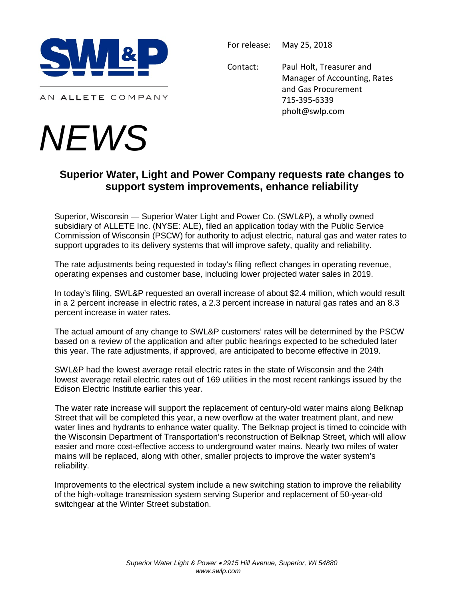

AN ALLETE COMPANY

## *NEWS*

For release: May 25, 2018

Contact: Paul Holt, Treasurer and Manager of Accounting, Rates and Gas Procurement 715-395-6339 pholt@swlp.com

## **Superior Water, Light and Power Company requests rate changes to support system improvements, enhance reliability**

Superior, Wisconsin — Superior Water Light and Power Co. (SWL&P), a wholly owned subsidiary of ALLETE Inc. (NYSE: ALE), filed an application today with the Public Service Commission of Wisconsin (PSCW) for authority to adjust electric, natural gas and water rates to support upgrades to its delivery systems that will improve safety, quality and reliability.

The rate adjustments being requested in today's filing reflect changes in operating revenue, operating expenses and customer base, including lower projected water sales in 2019.

In today's filing, SWL&P requested an overall increase of about \$2.4 million, which would result in a 2 percent increase in electric rates, a 2.3 percent increase in natural gas rates and an 8.3 percent increase in water rates.

The actual amount of any change to SWL&P customers' rates will be determined by the PSCW based on a review of the application and after public hearings expected to be scheduled later this year. The rate adjustments, if approved, are anticipated to become effective in 2019.

SWL&P had the lowest average retail electric rates in the state of Wisconsin and the 24th lowest average retail electric rates out of 169 utilities in the most recent rankings issued by the Edison Electric Institute earlier this year.

The water rate increase will support the replacement of century-old water mains along Belknap Street that will be completed this year, a new overflow at the water treatment plant, and new water lines and hydrants to enhance water quality. The Belknap project is timed to coincide with the Wisconsin Department of Transportation's reconstruction of Belknap Street, which will allow easier and more cost-effective access to underground water mains. Nearly two miles of water mains will be replaced, along with other, smaller projects to improve the water system's reliability.

Improvements to the electrical system include a new switching station to improve the reliability of the high-voltage transmission system serving Superior and replacement of 50-year-old switchgear at the Winter Street substation.